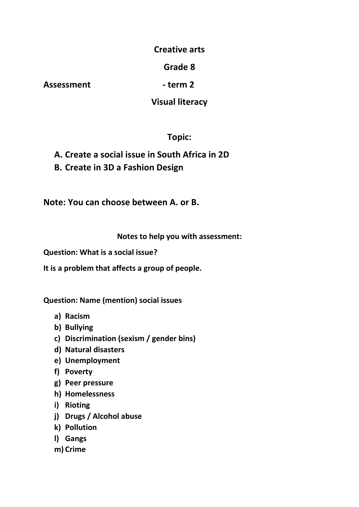### **Creative arts**

## **Grade 8**

Assessment - term 2

### **Visual literacy**

# **Topic:**

**A. Create a social issue in South Africa in 2D B. Create in 3D a Fashion Design**

**Note: You can choose between A. or B.**

### **Notes to help you with assessment:**

**Question: What is a social issue?**

**It is a problem that affects a group of people.**

**Question: Name (mention) social issues**

- **a) Racism**
- **b) Bullying**
- **c) Discrimination (sexism / gender bins)**
- **d) Natural disasters**
- **e) Unemployment**
- **f) Poverty**
- **g) Peer pressure**
- **h) Homelessness**
- **i) Rioting**
- **j) Drugs / Alcohol abuse**
- **k) Pollution**
- **l) Gangs**
- **m) Crime**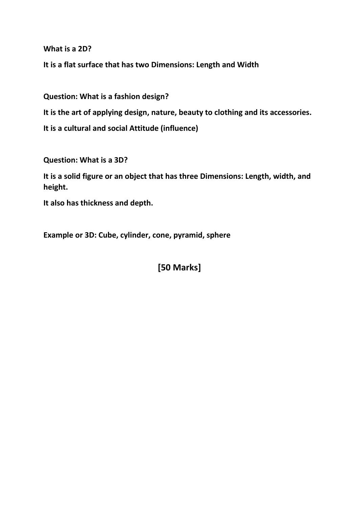**What is a 2D?**

**It is a flat surface that has two Dimensions: Length and Width** 

**Question: What is a fashion design? It is the art of applying design, nature, beauty to clothing and its accessories. It is a cultural and social Attitude (influence)**

**Question: What is a 3D?**

**It is a solid figure or an object that has three Dimensions: Length, width, and height.**

**It also has thickness and depth.**

**Example or 3D: Cube, cylinder, cone, pyramid, sphere**

**[50 Marks]**